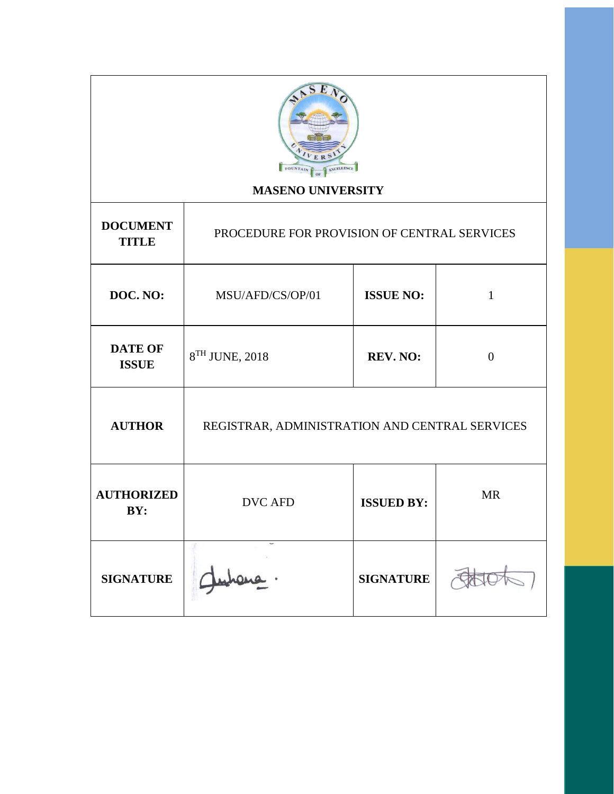

# **MASENO UNIVERSITY**

Τ

| <b>DOCUMENT</b><br><b>TITLE</b> | PROCEDURE FOR PROVISION OF CENTRAL SERVICES    |                   |              |
|---------------------------------|------------------------------------------------|-------------------|--------------|
| DOC. NO:                        | <b>ISSUE NO:</b><br>MSU/AFD/CS/OP/01           |                   | $\mathbf{1}$ |
| <b>DATE OF</b><br><b>ISSUE</b>  | 8 <sup>TH</sup> JUNE, 2018                     | $\theta$          |              |
| <b>AUTHOR</b>                   | REGISTRAR, ADMINISTRATION AND CENTRAL SERVICES |                   |              |
| <b>AUTHORIZED</b><br>BY:        | <b>DVC AFD</b>                                 | <b>ISSUED BY:</b> | <b>MR</b>    |
| <b>SIGNATURE</b>                |                                                | <b>SIGNATURE</b>  |              |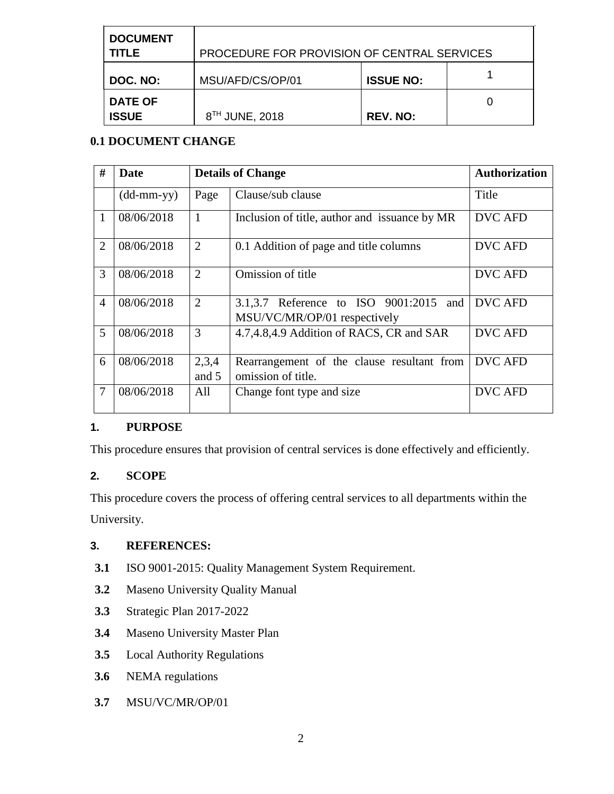| <b>DOCUMENT</b><br><b>TITLE</b> | PROCEDURE FOR PROVISION OF CENTRAL SERVICES |                  |  |
|---------------------------------|---------------------------------------------|------------------|--|
| DOC. NO:                        | MSU/AFD/CS/OP/01                            | <b>ISSUE NO:</b> |  |
| <b>DATE OF</b><br><b>ISSUE</b>  | 8 <sup>TH</sup> JUNE, 2018                  | <b>REV. NO:</b>  |  |

## **0.1 DOCUMENT CHANGE**

| #              | Date                       |                | <b>Details of Change</b>                                                  |                |
|----------------|----------------------------|----------------|---------------------------------------------------------------------------|----------------|
|                | $(dd\text{-}mm\text{-}yy)$ | Page           | Clause/sub clause                                                         | Title          |
| $\mathbf{1}$   | 08/06/2018                 | $\mathbf{1}$   | Inclusion of title, author and issuance by MR                             | <b>DVC AFD</b> |
| $\overline{2}$ | 08/06/2018                 | $\overline{2}$ | 0.1 Addition of page and title columns                                    | <b>DVC AFD</b> |
| 3              | 08/06/2018                 | $\overline{2}$ | Omission of title                                                         | <b>DVC AFD</b> |
| $\overline{4}$ | 08/06/2018                 | $\overline{2}$ | 3.1,3.7 Reference to ISO 9001:2015<br>and<br>MSU/VC/MR/OP/01 respectively | <b>DVC AFD</b> |
| 5              | 08/06/2018                 | 3              | 4.7,4.8,4.9 Addition of RACS, CR and SAR                                  | <b>DVC AFD</b> |
| 6              | 08/06/2018                 | 2,3,4          | Rearrangement of the clause resultant from                                | <b>DVC AFD</b> |
|                |                            | and 5          | omission of title.                                                        |                |
| $\overline{7}$ | 08/06/2018                 | All            | Change font type and size                                                 | <b>DVC AFD</b> |

## **1. PURPOSE**

This procedure ensures that provision of central services is done effectively and efficiently.

## **2. SCOPE**

This procedure covers the process of offering central services to all departments within the University.

## **3. REFERENCES:**

- **3.1** ISO 9001-2015: Quality Management System Requirement.
- **3.2** Maseno University Quality Manual
- **3.3** Strategic Plan 2017-2022
- **3.4** Maseno University Master Plan
- **3.5** Local Authority Regulations
- **3.6** NEMA regulations
- **3.7** MSU/VC/MR/OP/01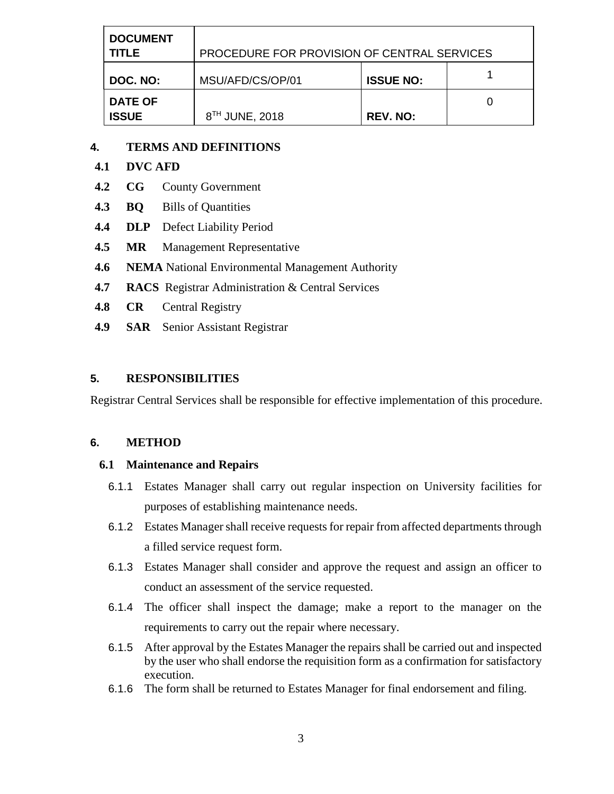| <b>DOCUMENT</b><br><b>TITLE</b> | PROCEDURE FOR PROVISION OF CENTRAL SERVICES |                  |  |
|---------------------------------|---------------------------------------------|------------------|--|
| DOC. NO:                        | MSU/AFD/CS/OP/01                            | <b>ISSUE NO:</b> |  |
| <b>DATE OF</b><br><b>ISSUE</b>  | 8 <sup>TH</sup> JUNE, 2018                  | <b>REV. NO:</b>  |  |

#### **4. TERMS AND DEFINITIONS**

## **4.1 DVC AFD**

- **4.2 CG** County Government
- **4.3 BQ** Bills of Quantities
- **4.4 DLP** Defect Liability Period
- **4.5 MR** Management Representative
- **4.6 NEMA** National Environmental Management Authority
- **4.7 RACS** Registrar Administration & Central Services
- **4.8 CR** Central Registry
- **4.9 SAR** Senior Assistant Registrar

#### **5. RESPONSIBILITIES**

Registrar Central Services shall be responsible for effective implementation of this procedure.

#### **6. METHOD**

#### **6.1 Maintenance and Repairs**

- 6.1.1 Estates Manager shall carry out regular inspection on University facilities for purposes of establishing maintenance needs.
- 6.1.2 Estates Manager shall receive requests for repair from affected departments through a filled service request form.
- 6.1.3 Estates Manager shall consider and approve the request and assign an officer to conduct an assessment of the service requested.
- 6.1.4 The officer shall inspect the damage; make a report to the manager on the requirements to carry out the repair where necessary.
- 6.1.5 After approval by the Estates Manager the repairs shall be carried out and inspected by the user who shall endorse the requisition form as a confirmation for satisfactory execution.
- 6.1.6 The form shall be returned to Estates Manager for final endorsement and filing.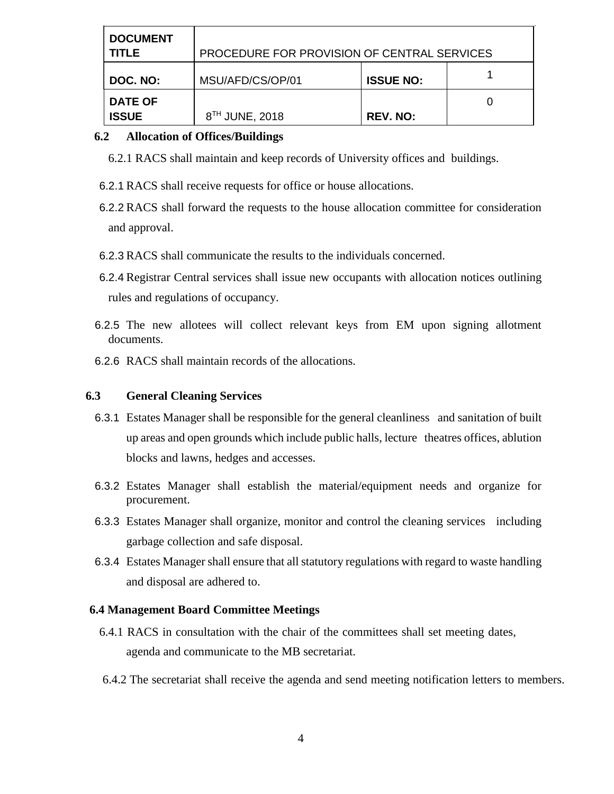| <b>DOCUMENT</b><br><b>TITLE</b> | PROCEDURE FOR PROVISION OF CENTRAL SERVICES |                  |  |
|---------------------------------|---------------------------------------------|------------------|--|
| DOC. NO:                        | MSU/AFD/CS/OP/01                            | <b>ISSUE NO:</b> |  |
| <b>DATE OF</b><br><b>ISSUE</b>  | 8 <sup>TH</sup> JUNE, 2018                  | <b>REV. NO:</b>  |  |

#### **6.2 Allocation of Offices/Buildings**

6.2.1 RACS shall maintain and keep records of University offices and buildings.

- 6.2.1 RACS shall receive requests for office or house allocations.
- 6.2.2 RACS shall forward the requests to the house allocation committee for consideration and approval.
- 6.2.3 RACS shall communicate the results to the individuals concerned.
- 6.2.4 Registrar Central services shall issue new occupants with allocation notices outlining rules and regulations of occupancy.
- 6.2.5 The new allotees will collect relevant keys from EM upon signing allotment documents.
- 6.2.6 RACS shall maintain records of the allocations.

#### **6.3 General Cleaning Services**

- 6.3.1 Estates Manager shall be responsible for the general cleanliness and sanitation of built up areas and open grounds which include public halls, lecture theatres offices, ablution blocks and lawns, hedges and accesses.
- 6.3.2 Estates Manager shall establish the material/equipment needs and organize for procurement.
- 6.3.3 Estates Manager shall organize, monitor and control the cleaning services including garbage collection and safe disposal.
- 6.3.4 Estates Manager shall ensure that all statutory regulations with regard to waste handling and disposal are adhered to.

## **6.4 Management Board Committee Meetings**

- 6.4.1 RACS in consultation with the chair of the committees shall set meeting dates, agenda and communicate to the MB secretariat.
- 6.4.2 The secretariat shall receive the agenda and send meeting notification letters to members.